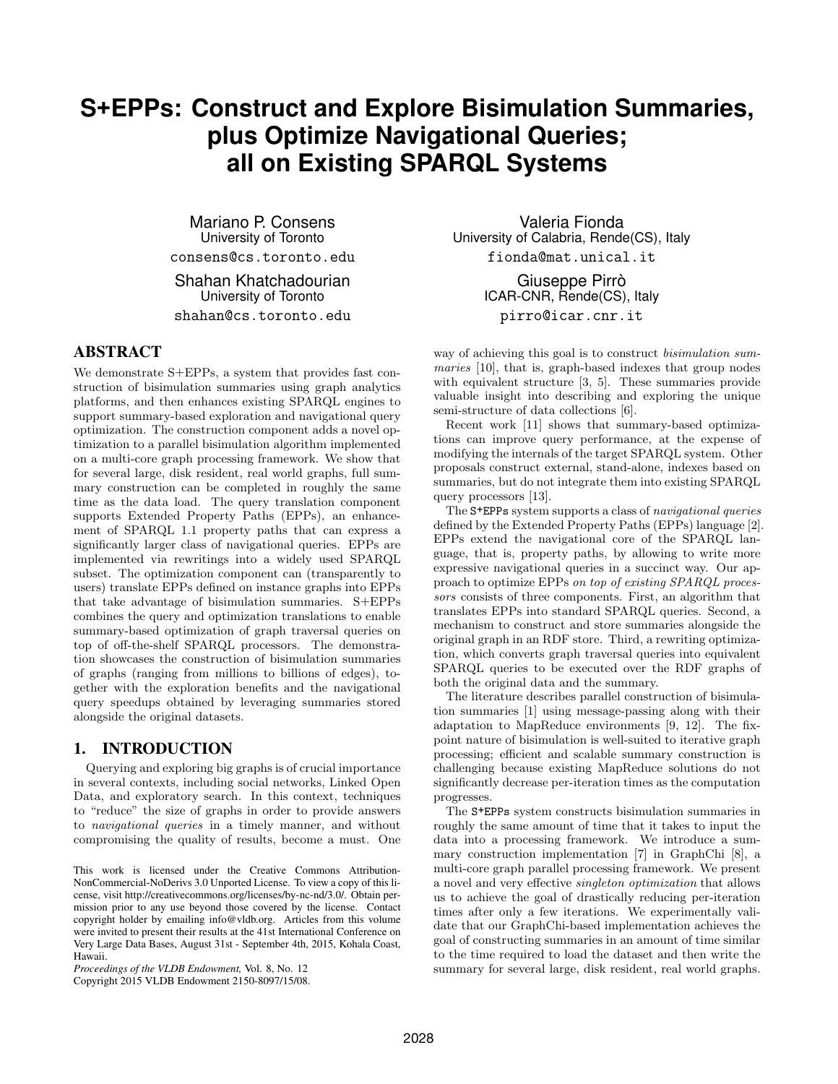# **S+EPPs: Construct and Explore Bisimulation Summaries, plus Optimize Navigational Queries; all on Existing SPARQL Systems**

Mariano P. Consens University of Toronto consens@cs.toronto.edu

Shahan Khatchadourian University of Toronto

shahan@cs.toronto.edu

### ABSTRACT

We demonstrate S+EPPs, a system that provides fast construction of bisimulation summaries using graph analytics platforms, and then enhances existing SPARQL engines to support summary-based exploration and navigational query optimization. The construction component adds a novel optimization to a parallel bisimulation algorithm implemented on a multi-core graph processing framework. We show that for several large, disk resident, real world graphs, full summary construction can be completed in roughly the same time as the data load. The query translation component supports Extended Property Paths (EPPs), an enhancement of SPARQL 1.1 property paths that can express a significantly larger class of navigational queries. EPPs are implemented via rewritings into a widely used SPARQL subset. The optimization component can (transparently to users) translate EPPs defined on instance graphs into EPPs that take advantage of bisimulation summaries. S+EPPs combines the query and optimization translations to enable summary-based optimization of graph traversal queries on top of off-the-shelf SPARQL processors. The demonstration showcases the construction of bisimulation summaries of graphs (ranging from millions to billions of edges), together with the exploration benefits and the navigational query speedups obtained by leveraging summaries stored alongside the original datasets.

# 1. INTRODUCTION

Querying and exploring big graphs is of crucial importance in several contexts, including social networks, Linked Open Data, and exploratory search. In this context, techniques to "reduce" the size of graphs in order to provide answers to navigational queries in a timely manner, and without compromising the quality of results, become a must. One

*Proceedings of the VLDB Endowment,* Vol. 8, No. 12 Copyright 2015 VLDB Endowment 2150-8097/15/08.

Valeria Fionda University of Calabria, Rende(CS), Italy fionda@mat.unical.it

> Giuseppe Pirrò ICAR-CNR, Rende(CS), Italy pirro@icar.cnr.it

way of achieving this goal is to construct bisimulation summaries [10], that is, graph-based indexes that group nodes with equivalent structure [3, 5]. These summaries provide valuable insight into describing and exploring the unique semi-structure of data collections [6].

Recent work [11] shows that summary-based optimizations can improve query performance, at the expense of modifying the internals of the target SPARQL system. Other proposals construct external, stand-alone, indexes based on summaries, but do not integrate them into existing SPARQL query processors [13].

The S+EPPs system supports a class of navigational queries defined by the Extended Property Paths (EPPs) language [2]. EPPs extend the navigational core of the SPARQL language, that is, property paths, by allowing to write more expressive navigational queries in a succinct way. Our approach to optimize EPPs on top of existing SPARQL processors consists of three components. First, an algorithm that translates EPPs into standard SPARQL queries. Second, a mechanism to construct and store summaries alongside the original graph in an RDF store. Third, a rewriting optimization, which converts graph traversal queries into equivalent SPARQL queries to be executed over the RDF graphs of both the original data and the summary.

The literature describes parallel construction of bisimulation summaries [1] using message-passing along with their adaptation to MapReduce environments [9, 12]. The fixpoint nature of bisimulation is well-suited to iterative graph processing; efficient and scalable summary construction is challenging because existing MapReduce solutions do not significantly decrease per-iteration times as the computation progresses.

The S+EPPs system constructs bisimulation summaries in roughly the same amount of time that it takes to input the data into a processing framework. We introduce a summary construction implementation [7] in GraphChi [8], a multi-core graph parallel processing framework. We present a novel and very effective singleton optimization that allows us to achieve the goal of drastically reducing per-iteration times after only a few iterations. We experimentally validate that our GraphChi-based implementation achieves the goal of constructing summaries in an amount of time similar to the time required to load the dataset and then write the summary for several large, disk resident, real world graphs.

This work is licensed under the Creative Commons Attribution-NonCommercial-NoDerivs 3.0 Unported License. To view a copy of this license, visit http://creativecommons.org/licenses/by-nc-nd/3.0/. Obtain permission prior to any use beyond those covered by the license. Contact copyright holder by emailing info@vldb.org. Articles from this volume were invited to present their results at the 41st International Conference on Very Large Data Bases, August 31st - September 4th, 2015, Kohala Coast, Hawaii.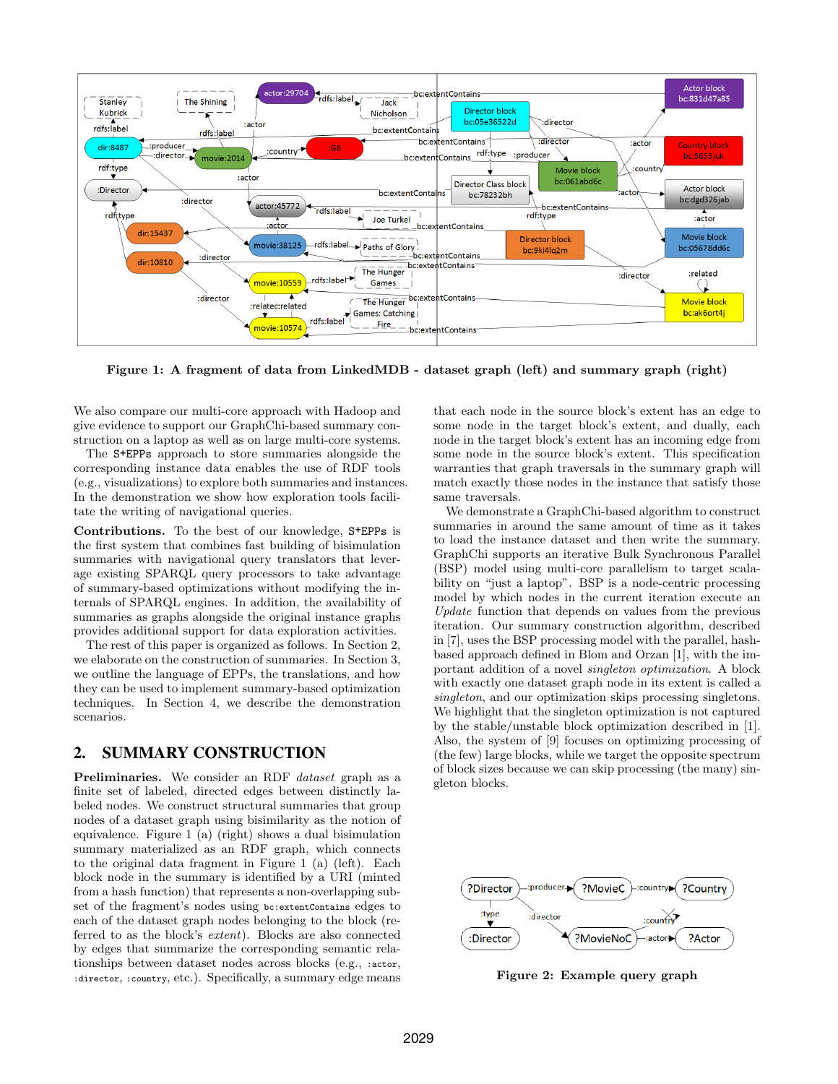

Figure 1: A fragment of data from LinkedMDB - dataset graph (left) and summary graph (right)

We also compare our multi-core approach with Hadoop and give evidence to support our GraphChi-based summary construction on a laptop as well as on large multi-core systems.

The S+EPPs approach to store summaries alongside the corresponding instance data enables the use of RDF tools (e.g., visualizations) to explore both summaries and instances. In the demonstration we show how exploration tools facilitate the writing of navigational queries.

Contributions. To the best of our knowledge, S+EPPs is the first system that combines fast building of bisimulation summaries with navigational query translators that leverage existing SPARQL query processors to take advantage of summary-based optimizations without modifying the internals of SPARQL engines. In addition, the availability of summaries as graphs alongside the original instance graphs provides additional support for data exploration activities.

The rest of this paper is organized as follows. In Section 2, we elaborate on the construction of summaries. In Section 3, we outline the language of EPPs, the translations, and how they can be used to implement summary-based optimization techniques. In Section 4, we describe the demonstration scenarios.

# 2. SUMMARY CONSTRUCTION

Preliminaries. We consider an RDF *dataset* graph as a finite set of labeled, directed edges between distinctly labeled nodes. We construct structural summaries that group nodes of a dataset graph using bisimilarity as the notion of equivalence. Figure 1 (a) (right) shows a dual bisimulation summary materialized as an RDF graph, which connects to the original data fragment in Figure 1 (a) (left). Each block node in the summary is identified by a URI (minted from a hash function) that represents a non-overlapping subset of the fragment's nodes using bc:extentContains edges to each of the dataset graph nodes belonging to the block (referred to as the block's extent). Blocks are also connected by edges that summarize the corresponding semantic relationships between dataset nodes across blocks (e.g., :actor, :director, :country, etc.). Specifically, a summary edge means

that each node in the source block's extent has an edge to some node in the target block's extent, and dually, each node in the target block's extent has an incoming edge from some node in the source block's extent. This specification warranties that graph traversals in the summary graph will match exactly those nodes in the instance that satisfy those same traversals.

We demonstrate a GraphChi-based algorithm to construct summaries in around the same amount of time as it takes to load the instance dataset and then write the summary. GraphChi supports an iterative Bulk Synchronous Parallel (BSP) model using multi-core parallelism to target scalability on "just a laptop". BSP is a node-centric processing model by which nodes in the current iteration execute an Update function that depends on values from the previous iteration. Our summary construction algorithm, described in [7], uses the BSP processing model with the parallel, hashbased approach defined in Blom and Orzan [1], with the important addition of a novel singleton optimization. A block with exactly one dataset graph node in its extent is called a singleton, and our optimization skips processing singletons. We highlight that the singleton optimization is not captured by the stable/unstable block optimization described in [1]. Also, the system of [9] focuses on optimizing processing of (the few) large blocks, while we target the opposite spectrum of block sizes because we can skip processing (the many) singleton blocks.



Figure 2: Example query graph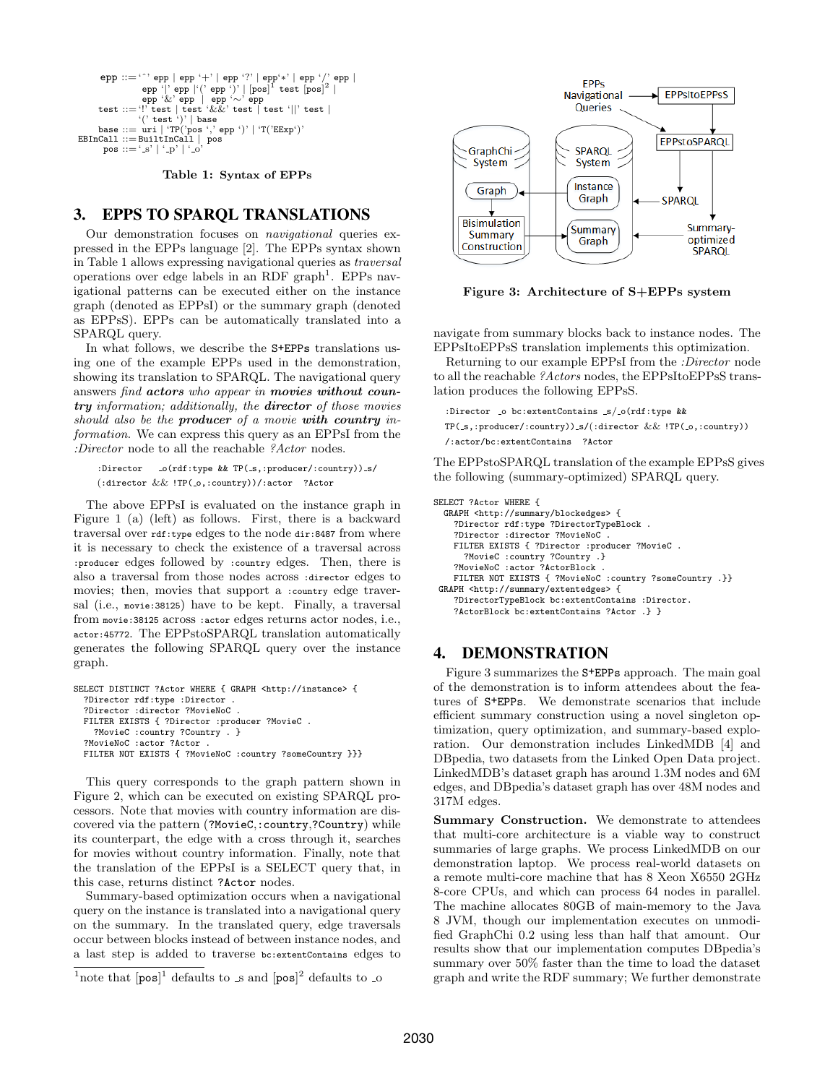```
epp ::='^' epp | epp '+' | epp '?' | epp'*' | epp '/' epp |
      epp '|' epp |'(' epp ')' | [pos]<sup>1</sup> test [pos]<sup>2</sup> |<br>epp '&' epp | epp '∼' epp<br>test ::= '!' test ||' test '&&' test | test '||' test |<br>'(' test ')' | base
     base  ::= \text{uri} | 'TP('pos ', 'epp ')' | 'T('EExp')EBInCall ::= BuiltInCall | pos
       pos := ' s' | ' -p' | ' -c
```
Table 1: Syntax of EPPs

# 3. EPPS TO SPARQL TRANSLATIONS

Our demonstration focuses on navigational queries expressed in the EPPs language [2]. The EPPs syntax shown in Table 1 allows expressing navigational queries as traversal operations over edge labels in an RDF graph<sup>1</sup>. EPPs navigational patterns can be executed either on the instance graph (denoted as EPPsI) or the summary graph (denoted as EPPsS). EPPs can be automatically translated into a SPARQL query.

In what follows, we describe the S+EPPs translations using one of the example EPPs used in the demonstration, showing its translation to SPARQL. The navigational query answers find actors who appear in movies without country information; additionally, the director of those movies should also be the **producer** of a movie with country information. We can express this query as an EPPsI from the :Director node to all the reachable ?Actor nodes.

:Director \_o(rdf:type && TP(\_s,:producer/:country)) \_s/ (:director && !TP(\_o,:country))/:actor ?Actor

The above EPPsI is evaluated on the instance graph in Figure 1 (a) (left) as follows. First, there is a backward traversal over rdf:type edges to the node dir:8487 from where it is necessary to check the existence of a traversal across :producer edges followed by :country edges. Then, there is also a traversal from those nodes across :director edges to movies; then, movies that support a :country edge traversal (i.e., movie:38125) have to be kept. Finally, a traversal from movie:38125 across :actor edges returns actor nodes, i.e., actor:45772. The EPPstoSPARQL translation automatically generates the following SPARQL query over the instance graph.

```
SELECT DISTINCT ?Actor WHERE { GRAPH <http://instance> {
?Director rdf:type :Director .
?Director :director ?MovieNoC .
FILTER EXISTS { ?Director :producer ?MovieC .
  ?MovieC :country ?Country . }
?MovieNoC :actor ?Actor
FILTER NOT EXISTS { ?MovieNoC :country ?someCountry }}}
```
This query corresponds to the graph pattern shown in Figure 2, which can be executed on existing SPARQL processors. Note that movies with country information are discovered via the pattern (?MovieC,:country,?Country) while its counterpart, the edge with a cross through it, searches for movies without country information. Finally, note that the translation of the EPPsI is a SELECT query that, in this case, returns distinct ?Actor nodes.

Summary-based optimization occurs when a navigational query on the instance is translated into a navigational query on the summary. In the translated query, edge traversals occur between blocks instead of between instance nodes, and a last step is added to traverse bc:extentContains edges to



Figure 3: Architecture of S+EPPs system

navigate from summary blocks back to instance nodes. The EPPsItoEPPsS translation implements this optimization.

Returning to our example EPPsI from the :Director node to all the reachable ?Actors nodes, the EPPsItoEPPsS translation produces the following EPPsS.

```
:Director _o bc:extentContains _s/_o(rdf:type &&
```
 $TP(.s, :producer/(country))$ <sub>s</sub>/(:director && ! $TP(.o, : country)$ ) /:actor/bc:extentContains ?Actor

The EPPstoSPARQL translation of the example EPPsS gives the following (summary-optimized) SPARQL query.

SELECT ?Actor WHERE { GRAPH <http://summary/blockedges> { ?Director rdf:type ?DirectorTypeBlock . ?Director :director ?MovieNoC . FILTER EXISTS { ?Director :producer ?MovieC . ?MovieC :country ?Country .} ?MovieNoC :actor ?ActorBlock . FILTER NOT EXISTS { ?MovieNoC :country ?someCountry .}} GRAPH <http://summary/extentedges> { ?DirectorTypeBlock bc:extentContains :Director. ?ActorBlock bc:extentContains ?Actor .} }

### 4. DEMONSTRATION

Figure 3 summarizes the S+EPPs approach. The main goal of the demonstration is to inform attendees about the features of S+EPPs. We demonstrate scenarios that include efficient summary construction using a novel singleton optimization, query optimization, and summary-based exploration. Our demonstration includes LinkedMDB [4] and DBpedia, two datasets from the Linked Open Data project. LinkedMDB's dataset graph has around 1.3M nodes and 6M edges, and DBpedia's dataset graph has over 48M nodes and 317M edges.

Summary Construction. We demonstrate to attendees that multi-core architecture is a viable way to construct summaries of large graphs. We process LinkedMDB on our demonstration laptop. We process real-world datasets on a remote multi-core machine that has 8 Xeon X6550 2GHz 8-core CPUs, and which can process 64 nodes in parallel. The machine allocates 80GB of main-memory to the Java 8 JVM, though our implementation executes on unmodified GraphChi 0.2 using less than half that amount. Our results show that our implementation computes DBpedia's summary over 50% faster than the time to load the dataset graph and write the RDF summary; We further demonstrate

<sup>&</sup>lt;sup>1</sup> note that  $[pos]^1$  defaults to s and  $[pos]^2$  defaults to so